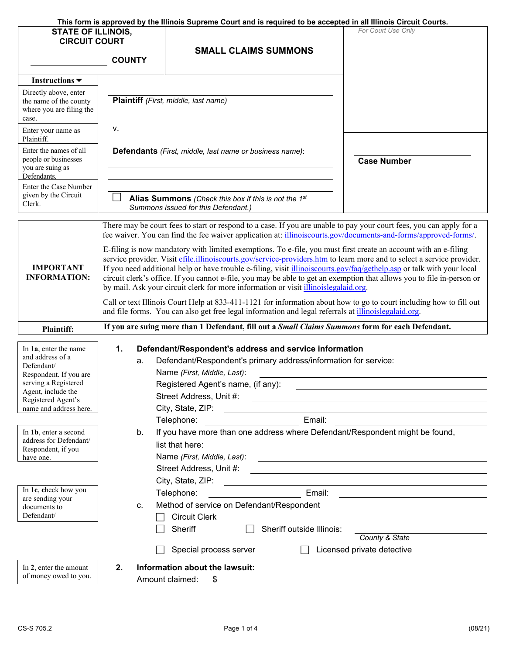|                                                    |                                                                                            |                                                                                                              | This form is approved by the Illinois Supreme Court and is required to be accepted in all Illinois Circuit Courts.              |
|----------------------------------------------------|--------------------------------------------------------------------------------------------|--------------------------------------------------------------------------------------------------------------|---------------------------------------------------------------------------------------------------------------------------------|
| <b>STATE OF ILLINOIS,</b>                          |                                                                                            |                                                                                                              | For Court Use Only                                                                                                              |
| <b>CIRCUIT COURT</b>                               |                                                                                            |                                                                                                              |                                                                                                                                 |
|                                                    | <b>COUNTY</b>                                                                              | <b>SMALL CLAIMS SUMMONS</b>                                                                                  |                                                                                                                                 |
|                                                    |                                                                                            |                                                                                                              |                                                                                                                                 |
| Instructions $\blacktriangledown$                  |                                                                                            |                                                                                                              |                                                                                                                                 |
| Directly above, enter                              |                                                                                            |                                                                                                              |                                                                                                                                 |
| the name of the county<br>where you are filing the |                                                                                            | Plaintiff (First, middle, last name)                                                                         |                                                                                                                                 |
| case.                                              |                                                                                            |                                                                                                              |                                                                                                                                 |
| Enter your name as                                 | ۷.                                                                                         |                                                                                                              |                                                                                                                                 |
| Plaintiff.                                         |                                                                                            |                                                                                                              |                                                                                                                                 |
| Enter the names of all                             |                                                                                            | <b>Defendants</b> (First, middle, last name or business name):                                               |                                                                                                                                 |
| people or businesses<br>you are suing as           |                                                                                            |                                                                                                              | <b>Case Number</b>                                                                                                              |
| Defendants.                                        |                                                                                            |                                                                                                              |                                                                                                                                 |
| Enter the Case Number                              |                                                                                            |                                                                                                              |                                                                                                                                 |
| given by the Circuit<br>Clerk.                     |                                                                                            | Alias Summons (Check this box if this is not the 1st                                                         |                                                                                                                                 |
|                                                    |                                                                                            | Summons issued for this Defendant.)                                                                          |                                                                                                                                 |
|                                                    |                                                                                            |                                                                                                              | There may be court fees to start or respond to a case. If you are unable to pay your court fees, you can apply for a            |
|                                                    |                                                                                            |                                                                                                              | fee waiver. You can find the fee waiver application at: illinoiscourts.gov/documents-and-forms/approved-forms/.                 |
|                                                    |                                                                                            |                                                                                                              | E-filing is now mandatory with limited exemptions. To e-file, you must first create an account with an e-filing                 |
|                                                    |                                                                                            |                                                                                                              | service provider. Visit efile.illinoiscourts.gov/service-providers.htm to learn more and to select a service provider.          |
| <b>IMPORTANT</b>                                   |                                                                                            |                                                                                                              | If you need additional help or have trouble e-filing, visit illinoiscourts.gov/faq/gethelp.asp or talk with your local          |
| <b>INFORMATION:</b>                                |                                                                                            |                                                                                                              | circuit clerk's office. If you cannot e-file, you may be able to get an exemption that allows you to file in-person or          |
|                                                    |                                                                                            | by mail. Ask your circuit clerk for more information or visit <i>illinoislegalaid.org</i> .                  |                                                                                                                                 |
|                                                    |                                                                                            |                                                                                                              | Call or text Illinois Court Help at 833-411-1121 for information about how to go to court including how to fill out             |
|                                                    |                                                                                            | and file forms. You can also get free legal information and legal referrals at <i>illinoislegalaid.org</i> . |                                                                                                                                 |
| <b>Plaintiff:</b>                                  |                                                                                            |                                                                                                              | If you are suing more than 1 Defendant, fill out a Small Claims Summons form for each Defendant.                                |
| In 1a, enter the name                              | 1.                                                                                         | Defendant/Respondent's address and service information                                                       |                                                                                                                                 |
| and address of a                                   | a.                                                                                         | Defendant/Respondent's primary address/information for service:                                              |                                                                                                                                 |
| Defendant/<br>Respondent. If you are               |                                                                                            | Name (First, Middle, Last):                                                                                  |                                                                                                                                 |
| serving a Registered                               |                                                                                            | Registered Agent's name, (if any):                                                                           |                                                                                                                                 |
| Agent, include the                                 |                                                                                            |                                                                                                              |                                                                                                                                 |
| Registered Agent's<br>name and address here.       |                                                                                            | City, State, ZIP:                                                                                            | <u> Alexandria de la contrada de la contrada de la contrada de la contrada de la contrada de la contrada de la c</u>            |
|                                                    |                                                                                            | Telephone:                                                                                                   | Email:                                                                                                                          |
| In 1b, enter a second                              | b.                                                                                         |                                                                                                              | If you have more than one address where Defendant/Respondent might be found,                                                    |
| address for Defendant/                             |                                                                                            | list that here:                                                                                              |                                                                                                                                 |
| Respondent, if you<br>have one.                    |                                                                                            |                                                                                                              | Name (First, Middle, Last):                                                                                                     |
|                                                    |                                                                                            |                                                                                                              |                                                                                                                                 |
|                                                    |                                                                                            | City, State, ZIP:                                                                                            |                                                                                                                                 |
| In 1c, check how you                               |                                                                                            | Telephone:                                                                                                   | <u> 1989 - Johann Harry Harry Harry Harry Harry Harry Harry Harry Harry Harry Harry Harry Harry Harry Harry Harry</u><br>Email: |
| are sending your                                   | <u> 1990 - Johann Barbara, martin a</u><br>Method of service on Defendant/Respondent<br>C. |                                                                                                              |                                                                                                                                 |
| documents to<br>Defendant/                         |                                                                                            | <b>Circuit Clerk</b>                                                                                         |                                                                                                                                 |
|                                                    |                                                                                            | Sheriff outside Illinois:<br>Sheriff                                                                         |                                                                                                                                 |
|                                                    |                                                                                            |                                                                                                              | County & State                                                                                                                  |
|                                                    |                                                                                            | Special process server                                                                                       | Licensed private detective                                                                                                      |
|                                                    |                                                                                            |                                                                                                              |                                                                                                                                 |
| In 2, enter the amount<br>of money owed to you.    | 2.                                                                                         | Information about the lawsuit:                                                                               |                                                                                                                                 |
|                                                    |                                                                                            | Amount claimed:<br>- \$                                                                                      |                                                                                                                                 |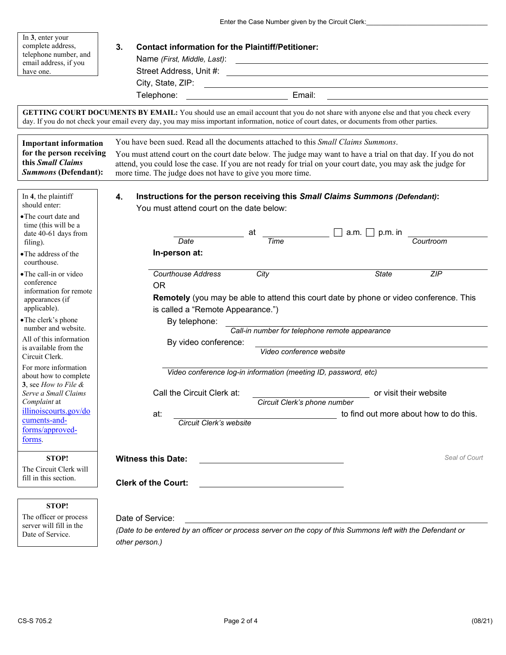Enter the Case Number given by the Circuit Clerk: \_\_\_\_\_\_\_\_\_\_\_\_\_\_\_\_\_\_\_\_\_\_\_\_\_\_\_\_\_\_

| In 3, enter your<br>complete address,<br>telephone number, and<br>email address, if you<br>have one.                                                | 3.<br><b>Contact information for the Plaintiff/Petitioner:</b><br>Name (First, Middle, Last): 2008. [2012]<br>City, State, ZIP: <u>City, State, ZIP:</u>                                                                                                                                                                                                                                |                                                                  |  |
|-----------------------------------------------------------------------------------------------------------------------------------------------------|-----------------------------------------------------------------------------------------------------------------------------------------------------------------------------------------------------------------------------------------------------------------------------------------------------------------------------------------------------------------------------------------|------------------------------------------------------------------|--|
|                                                                                                                                                     | GETTING COURT DOCUMENTS BY EMAIL: You should use an email account that you do not share with anyone else and that you check every<br>day. If you do not check your email every day, you may miss important information, notice of court dates, or documents from other parties.                                                                                                         |                                                                  |  |
| <b>Important information</b><br>for the person receiving<br>this Small Claims<br><b>Summons (Defendant):</b>                                        | You have been sued. Read all the documents attached to this <i>Small Claims Summons</i> .<br>You must attend court on the court date below. The judge may want to have a trial on that day. If you do not<br>attend, you could lose the case. If you are not ready for trial on your court date, you may ask the judge for<br>more time. The judge does not have to give you more time. |                                                                  |  |
| In 4, the plaintiff<br>should enter:<br>• The court date and<br>time (this will be a<br>date 40-61 days from                                        | Instructions for the person receiving this Small Claims Summons (Defendant):<br>4.<br>You must attend court on the date below:<br>at                                                                                                                                                                                                                                                    | a.m. $\Box$ p.m. in                                              |  |
| filing).<br>• The address of the<br>courthouse.                                                                                                     | <b>Time</b><br>Date<br>In-person at:                                                                                                                                                                                                                                                                                                                                                    | Courtroom                                                        |  |
| • The call-in or video<br>conference<br>information for remote<br>appearances (if<br>applicable).<br>• The clerk's phone                            | <b>Courthouse Address</b><br>City<br><b>OR</b><br><b>Remotely</b> (you may be able to attend this court date by phone or video conference. This<br>is called a "Remote Appearance.")                                                                                                                                                                                                    | ZIP<br><b>State</b>                                              |  |
| number and website.<br>All of this information<br>is available from the                                                                             | By telephone:<br>Call-in number for telephone remote appearance<br>By video conference:                                                                                                                                                                                                                                                                                                 |                                                                  |  |
| Circuit Clerk.<br>For more information<br>about how to complete                                                                                     | Video conference website<br>Video conference log-in information (meeting ID, password, etc)                                                                                                                                                                                                                                                                                             |                                                                  |  |
| 3. see How to File $\&$<br>Serve a Small Claims<br><i>Complaint</i> at<br><u>illinoiscourts.gov/do</u><br>cuments-and-<br>forms/approved-<br>forms. | Call the Circuit Clerk at:<br>Circuit Clerk's phone number<br>at:<br>Circuit Clerk's website                                                                                                                                                                                                                                                                                            | or visit their website<br>to find out more about how to do this. |  |
| <b>STOP!</b><br>The Circuit Clerk will<br>fill in this section.                                                                                     | <b>Witness this Date:</b><br><b>Clerk of the Court:</b>                                                                                                                                                                                                                                                                                                                                 | Seal of Court                                                    |  |
| <b>STOP!</b>                                                                                                                                        |                                                                                                                                                                                                                                                                                                                                                                                         |                                                                  |  |
| The officer or process<br>server will fill in the<br>Date of Service.                                                                               | Date of Service:<br>(Date to be entered by an officer or process server on the copy of this Summons left with the Defendant or<br>other person.)                                                                                                                                                                                                                                        |                                                                  |  |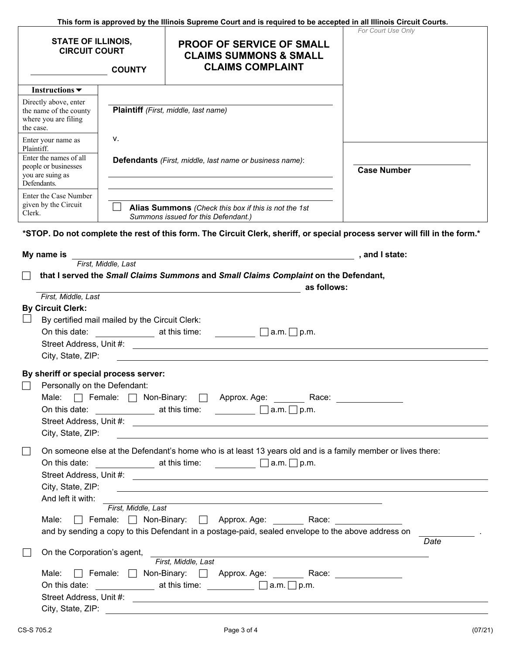|                                                                                                                               |                                                | This form is approved by the Illinois Supreme Court and is required to be accepted in all Illinois Circuit Courts.                                                                                                                                                                                                                       |                    |
|-------------------------------------------------------------------------------------------------------------------------------|------------------------------------------------|------------------------------------------------------------------------------------------------------------------------------------------------------------------------------------------------------------------------------------------------------------------------------------------------------------------------------------------|--------------------|
| <b>STATE OF ILLINOIS,</b><br><b>CIRCUIT COURT</b><br><b>COUNTY</b>                                                            |                                                | <b>PROOF OF SERVICE OF SMALL</b><br><b>CLAIMS SUMMONS &amp; SMALL</b><br><b>CLAIMS COMPLAINT</b>                                                                                                                                                                                                                                         | For Court Use Only |
| Instructions $\blacktriangledown$                                                                                             |                                                |                                                                                                                                                                                                                                                                                                                                          |                    |
| Directly above, enter<br>the name of the county<br>where you are filing<br>the case.                                          |                                                | Plaintiff (First, middle, last name)                                                                                                                                                                                                                                                                                                     |                    |
| ν.<br>Enter your name as<br>Plaintiff.<br>Enter the names of all<br>people or businesses<br>you are suing as<br>Defendants.   |                                                |                                                                                                                                                                                                                                                                                                                                          |                    |
|                                                                                                                               |                                                | <b>Defendants</b> (First, middle, last name or business name):                                                                                                                                                                                                                                                                           | <b>Case Number</b> |
| Enter the Case Number                                                                                                         |                                                |                                                                                                                                                                                                                                                                                                                                          |                    |
| given by the Circuit<br>Alias Summons (Check this box if this is not the 1st<br>Clerk.<br>Summons issued for this Defendant.) |                                                |                                                                                                                                                                                                                                                                                                                                          |                    |
| My name is                                                                                                                    |                                                | First, Middle, Last <b>First</b> , Middle, Last <b>First</b> , Middle, Last<br>that I served the Small Claims Summons and Small Claims Complaint on the Defendant,<br>as follows:<br><u> 1980 - Johann Barn, fransk politik (d. 1980)</u>                                                                                                |                    |
| First, Middle, Last<br><b>By Circuit Clerk:</b><br>City, State, ZIP:                                                          | By certified mail mailed by the Circuit Clerk: | On this date: $\_\_\_\_\_\_\_\$ at this time: $\_\_\_\_\_\_\_\_\_\_\_\_\_\_\$ a.m. $\_\_\_\_\_\_\$ p.m.<br>Street Address, Unit #: \\espite \\espite \\espite \\espite \\espite \\espite \\espite \\espite \\espite \\espite \\espite \\espite \\espite \\espite \\espite \\espite \\espite \\espite \\espite \\espite \\espite \\espite |                    |
| By sheriff or special process server:<br>Personally on the Defendant:<br>City, State, ZIP:                                    |                                                | Male: □ Female: □ Non-Binary: □ Approx. Age: Race: Race:<br>On this date: $\qquad \qquad$ at this time: $\qquad \qquad$ a.m. $\Box$ p.m.                                                                                                                                                                                                 |                    |
| On this date:<br>City, State, ZIP:<br>And left it with:                                                                       |                                                | On someone else at the Defendant's home who is at least 13 years old and is a family member or lives there:<br>$\frac{1}{2}$ at this time: $\frac{1}{2}$ a.m. $\frac{1}{2}$ p.m.                                                                                                                                                         |                    |

| First, Middle, Last                                                                                |      |
|----------------------------------------------------------------------------------------------------|------|
| Non-Binary:<br>Male:<br>Female: $\Box$<br>Approx. Age:<br>Race:                                    |      |
| and by sending a copy to this Defendant in a postage-paid, sealed envelope to the above address on |      |
|                                                                                                    | Date |
| On the Corporation's agent,                                                                        |      |
| First. Middle. Last                                                                                |      |
| Male:<br>Non-Binary:<br>Female:<br>Approx. Age:<br>Race:                                           |      |
| On this date:<br>at this time:<br>$\Box$ a.m. $\Box$ p.m.                                          |      |
| Street Address, Unit #:                                                                            |      |

City, State, ZIP: